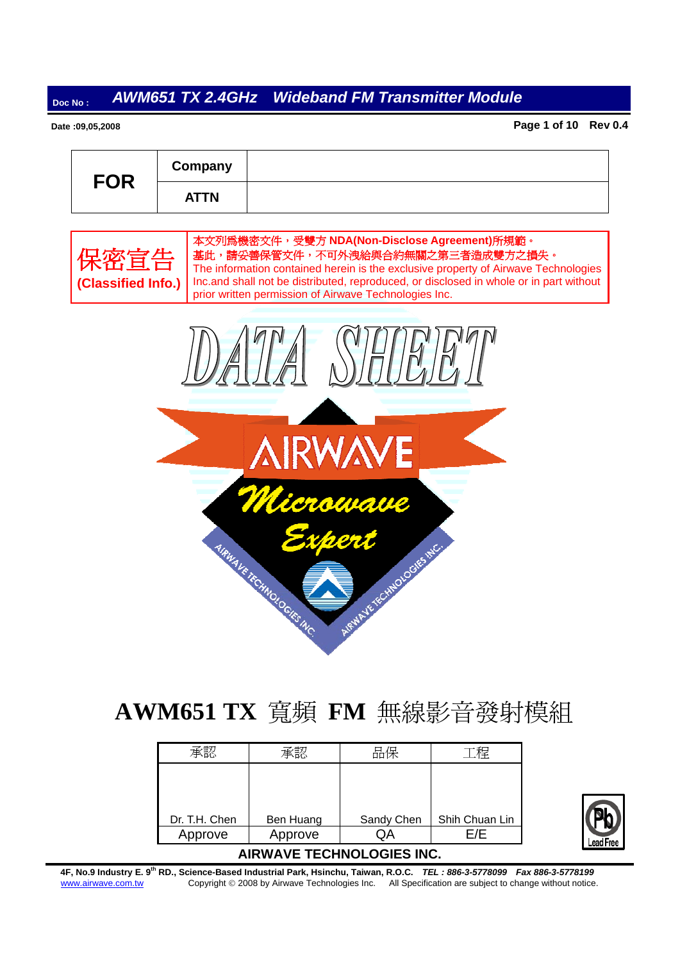#### **Date :09,05,2008**

**Page 1 of 10 Rev 0.4**

| <b>FOR</b> | Company     |  |
|------------|-------------|--|
|            | <b>ATTN</b> |  |





# **AWM651 TX** 寬頻 **FM** 無線影音發射模組

|               |           | 品保         | 程              |
|---------------|-----------|------------|----------------|
|               |           |            |                |
|               |           |            |                |
|               |           |            |                |
| Dr. T.H. Chen | Ben Huang | Sandy Chen | Shih Chuan Lin |
| Approve       | Approve   |            | =/F            |



**4F, No.9 Industry E. 9th RD., Science-Based Industrial Park, Hsinchu, Taiwan, R.O.C.** *TEL : 886-3-5778099 Fax 886-3-5778199*  www.airwave.com.tw Copyright © 2008 by Airwave Technologies Inc. All Specification are subject to change without notice.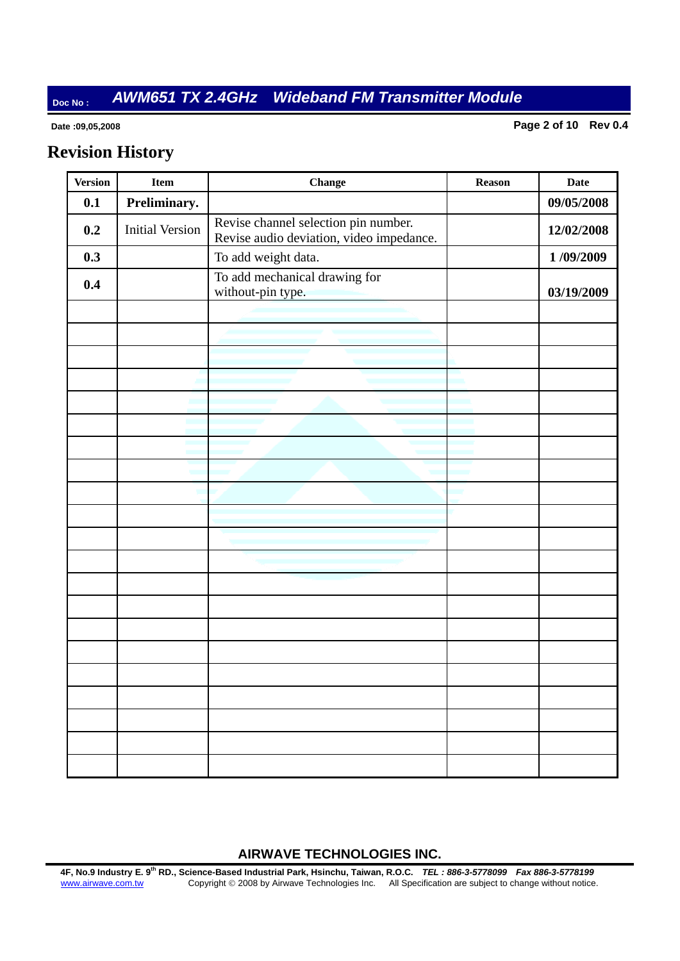#### **Date :09,05,2008**

**Page 2 of 10 Rev 0.4**

# **Revision History**

| <b>Version</b> | <b>Item</b>            | <b>Change</b>                                                                    | <b>Reason</b> | <b>Date</b> |
|----------------|------------------------|----------------------------------------------------------------------------------|---------------|-------------|
| 0.1            | Preliminary.           |                                                                                  |               | 09/05/2008  |
| 0.2            | <b>Initial Version</b> | Revise channel selection pin number.<br>Revise audio deviation, video impedance. |               | 12/02/2008  |
| 0.3            |                        | To add weight data.                                                              |               | 1/09/2009   |
| 0.4            |                        | To add mechanical drawing for<br>without-pin type.                               |               | 03/19/2009  |
|                |                        |                                                                                  |               |             |
|                |                        |                                                                                  |               |             |
|                |                        |                                                                                  |               |             |
|                |                        |                                                                                  |               |             |
|                |                        |                                                                                  |               |             |
|                |                        |                                                                                  |               |             |
|                |                        |                                                                                  |               |             |
|                |                        |                                                                                  |               |             |
|                |                        |                                                                                  |               |             |
|                |                        |                                                                                  |               |             |
|                |                        |                                                                                  |               |             |
|                |                        |                                                                                  |               |             |
|                |                        |                                                                                  |               |             |
|                |                        |                                                                                  |               |             |
|                |                        |                                                                                  |               |             |
|                |                        |                                                                                  |               |             |
|                |                        |                                                                                  |               |             |
|                |                        |                                                                                  |               |             |
|                |                        |                                                                                  |               |             |
|                |                        |                                                                                  |               |             |
|                |                        |                                                                                  |               |             |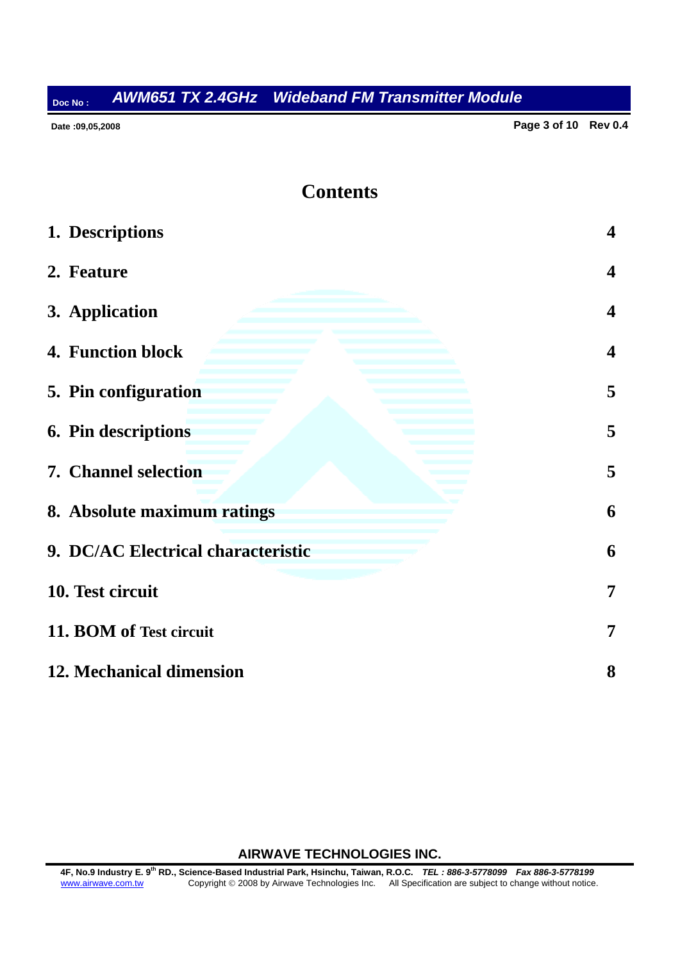**Date :09,05,2008** 

**Page 3 of 10 Rev 0.4**

### **Contents**

| 1. Descriptions                    | $\overline{\mathbf{4}}$ |
|------------------------------------|-------------------------|
| 2. Feature                         | $\overline{\mathbf{4}}$ |
| 3. Application                     | $\overline{\mathbf{4}}$ |
| 4. Function block                  | $\overline{\mathbf{4}}$ |
| 5. Pin configuration               | 5                       |
| 6. Pin descriptions                | 5                       |
| 7. Channel selection               | 5                       |
| 8. Absolute maximum ratings        | 6                       |
| 9. DC/AC Electrical characteristic | 6                       |
| 10. Test circuit                   | 7                       |
| 11. BOM of Test circuit            | 7                       |
| 12. Mechanical dimension           | 8                       |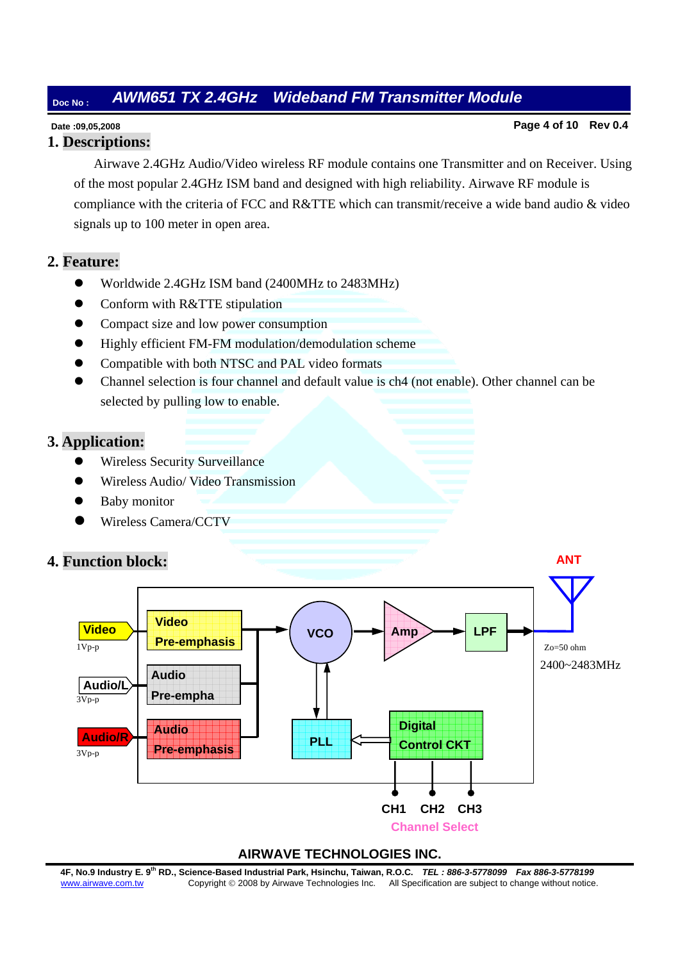#### **Date :09,05,2008**

### **1. Descriptions:**

**Page 4 of 10 Rev 0.4**

 Airwave 2.4GHz Audio/Video wireless RF module contains one Transmitter and on Receiver. Using of the most popular 2.4GHz ISM band and designed with high reliability. Airwave RF module is compliance with the criteria of FCC and R&TTE which can transmit/receive a wide band audio & video signals up to 100 meter in open area.

### **2. Feature:**

- Worldwide 2.4GHz ISM band (2400MHz to 2483MHz)
- Conform with R&TTE stipulation
- Compact size and low power consumption
- Highly efficient FM-FM modulation/demodulation scheme
- Compatible with both NTSC and PAL video formats
- z Channel selection is four channel and default value is ch4 (not enable). Other channel can be selected by pulling low to enable.

### **3. Application:**

- Wireless Security Surveillance
- z Wireless Audio/ Video Transmission
- Baby monitor
- z Wireless Camera/CCTV





#### **AIRWAVE TECHNOLOGIES INC.**

**4F, No.9 Industry E. 9th RD., Science-Based Industrial Park, Hsinchu, Taiwan, R.O.C.** *TEL : 886-3-5778099 Fax 886-3-5778199*  www.airwave.com.tw Copyright © 2008 by Airwave Technologies Inc. All Specification are subject to change without notice.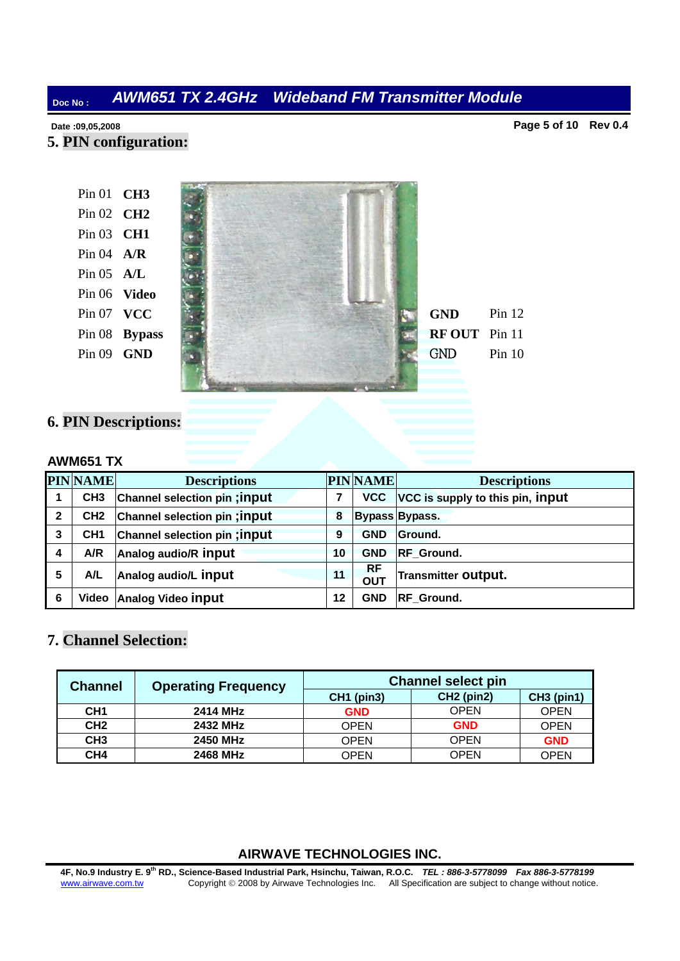**Date :09,05,2008** 

**Page 5 of 10 Rev 0.4**

**5. PIN configuration:**

**CH3**  Pin 01 **CH2**  Pin 02 Pin 03 **CH1 A/R**  Pin 04 **A/L**  Pin 05 **Video**  Pin 06 **Pin 07 <b>VCC Bypass**  Pin 08 Pin 09 **GND** 



**6. PIN Descriptions:** 

#### **AWM651 TX**

|                | <b>PINNAME</b>  | <b>Descriptions</b>           |    | <b>PINNAME</b>          | <b>Descriptions</b>              |
|----------------|-----------------|-------------------------------|----|-------------------------|----------------------------------|
|                | CH <sub>3</sub> | Channel selection pin ; input | 7  | <b>VCC</b>              | VCC is supply to this pin, input |
| $\overline{2}$ | CH <sub>2</sub> | Channel selection pin; input  | 8  |                         | Bypass Bypass.                   |
| 3              | CH <sub>1</sub> | Channel selection pin; input  | 9  | <b>GND</b>              | Ground.                          |
| 4              | A/R             | Analog audio/R input          | 10 | <b>GND</b>              | <b>RF</b> Ground.                |
| 5              | A/L             | Analog audio/L input          | 11 | <b>RF</b><br><b>OUT</b> | <b>Transmitter Output.</b>       |
| 6              | Video           | <b>Analog Video input</b>     | 12 | <b>GND</b>              | <b>RF</b> Ground.                |

### **7. Channel Selection:**

| <b>Channel</b>  | <b>Operating Frequency</b> | <b>Channel select pin</b> |              |                   |  |  |
|-----------------|----------------------------|---------------------------|--------------|-------------------|--|--|
|                 |                            | <b>CH1 (pin3)</b>         | $CH2$ (pin2) | <b>CH3 (pin1)</b> |  |  |
| CH <sub>1</sub> | 2414 MHz                   | <b>GND</b>                | <b>OPEN</b>  | <b>OPEN</b>       |  |  |
| CH <sub>2</sub> | 2432 MHz                   | <b>OPEN</b>               | <b>GND</b>   | <b>OPEN</b>       |  |  |
| CH <sub>3</sub> | <b>2450 MHz</b>            | <b>OPEN</b>               | <b>OPEN</b>  | <b>GND</b>        |  |  |
| CH4             | 2468 MHz                   | OPEN                      | <b>OPEN</b>  | OPEN              |  |  |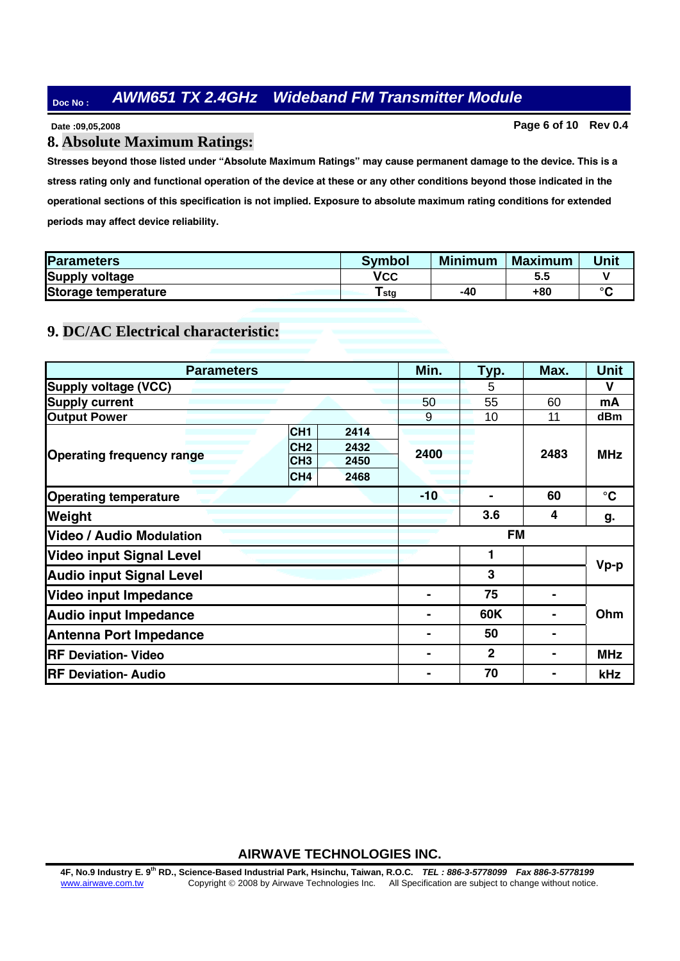**Date :09,05,2008** 

#### **Page 6 of 10 Rev 0.4**

#### **8. Absolute Maximum Ratings:**

**Stresses beyond those listed under "Absolute Maximum Ratings" may cause permanent damage to the device. This is a stress rating only and functional operation of the device at these or any other conditions beyond those indicated in the operational sections of this specification is not implied. Exposure to absolute maximum rating conditions for extended periods may affect device reliability.**

| <b>Parameters</b>     | <b>Symbol</b> | <b>Minimum</b> | <b>Maximum</b> | Unit    |
|-----------------------|---------------|----------------|----------------|---------|
| <b>Supply voltage</b> | VCC           |                | 5.5            |         |
| Storage temperature   | stg           | -40            | +80            | $\circ$ |

### **9. DC/AC Electrical characteristic:**

| <b>Parameters</b>                |                         | Min.      | Typ.         | Max. | <b>Unit</b>     |
|----------------------------------|-------------------------|-----------|--------------|------|-----------------|
| <b>Supply voltage (VCC)</b>      |                         |           | 5            |      | V               |
| <b>Supply current</b>            |                         | 50        | 55           | 60   | mA              |
| <b>Output Power</b>              |                         | 9         | 10           | 11   | dBm             |
|                                  | CH <sub>1</sub><br>2414 |           |              |      |                 |
| <b>Operating frequency range</b> | CH <sub>2</sub><br>2432 | 2400      |              | 2483 | <b>MHz</b>      |
|                                  | CH <sub>3</sub><br>2450 |           |              |      |                 |
|                                  | CH <sub>4</sub><br>2468 |           |              |      |                 |
| <b>Operating temperature</b>     |                         | $-10$     |              | 60   | $\rm ^{\circ}C$ |
| Weight                           |                         |           | 3.6          | 4    | g.              |
| <b>Video / Audio Modulation</b>  |                         | <b>FM</b> |              |      |                 |
| <b>Video input Signal Level</b>  |                         | 1         |              |      |                 |
| <b>Audio input Signal Level</b>  |                         |           | 3            |      | $Vp-p$          |
| <b>Video input Impedance</b>     |                         |           | 75           |      |                 |
| <b>Audio input Impedance</b>     |                         | 60K       |              | Ohm  |                 |
| <b>Antenna Port Impedance</b>    |                         | 50        |              |      |                 |
| <b>RF Deviation- Video</b>       |                         |           | $\mathbf{2}$ |      | <b>MHz</b>      |
| <b>RF Deviation- Audio</b>       |                         |           | 70           |      | kHz             |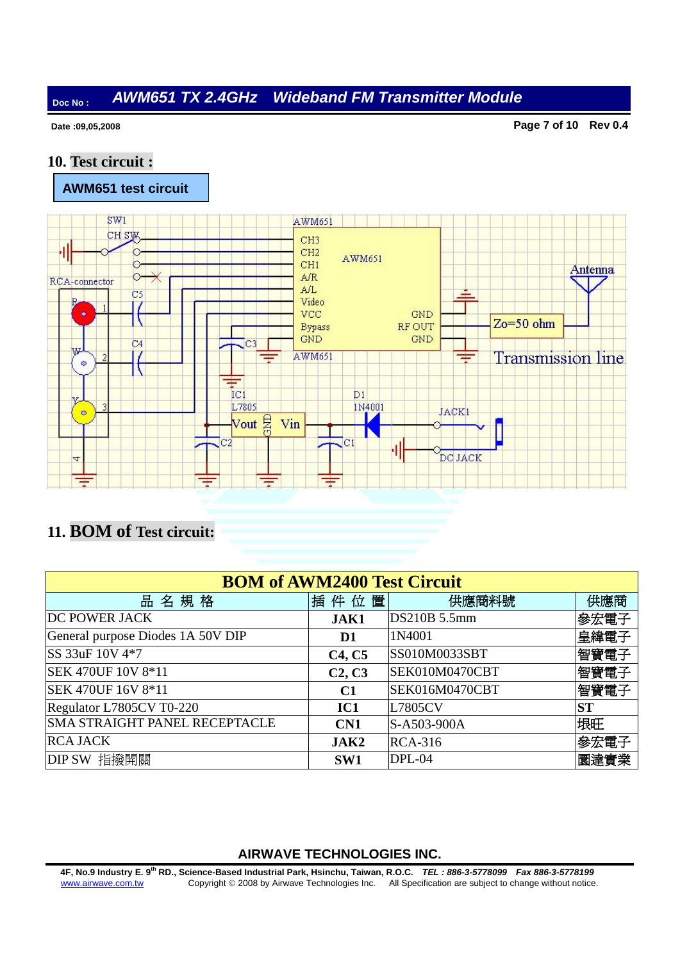**Date :09,05,2008** 

**Page 7 of 10 Rev 0.4**

### **10. Test circuit :**



# **11. BOM of Test circuit:**

| <b>BOM of AWM2400 Test Circuit</b>   |                                 |                |           |  |  |  |
|--------------------------------------|---------------------------------|----------------|-----------|--|--|--|
| 名規格<br>땀                             | 插件位置                            | 供應商料號          | 供應商       |  |  |  |
| <b>DC POWER JACK</b>                 | JAK1                            | DS210B 5.5mm   | 參宏電子      |  |  |  |
| General purpose Diodes 1A 50V DIP    | D <sub>1</sub>                  | 1N4001         | 皇緯電子      |  |  |  |
| SS 33uF 10V 4*7                      | C <sub>4</sub> , C <sub>5</sub> | SS010M0033SBT  | 智寶電子      |  |  |  |
| <b>SEK 470UF 10V 8*11</b>            | C <sub>2</sub> , C <sub>3</sub> | SEK010M0470CBT | 智寶電子      |  |  |  |
| SEK 470UF 16V 8*11                   | C1                              | SEK016M0470CBT | 智寶電子      |  |  |  |
| Regulator L7805CV T0-220             | IC1                             | L7805CV        | <b>ST</b> |  |  |  |
| <b>SMA STRAIGHT PANEL RECEPTACLE</b> | CN1                             | S-A503-900A    | 垠旺        |  |  |  |
| <b>RCA JACK</b>                      | JAK2                            | <b>RCA-316</b> | 參宏電子      |  |  |  |
| DIP SW 指撥開關                          | SW1                             | DPL-04         | 圜達實業      |  |  |  |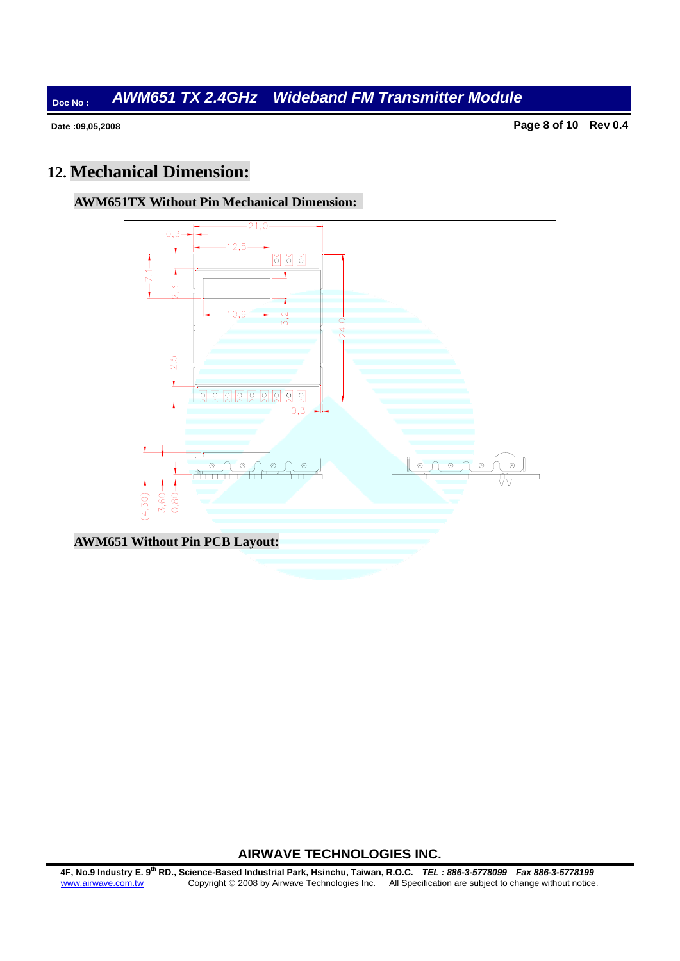**Date :09,05,2008** 

**Page 8 of 10 Rev 0.4**

# **12. Mechanical Dimension:**





**AWM651 Without Pin PCB Layout:**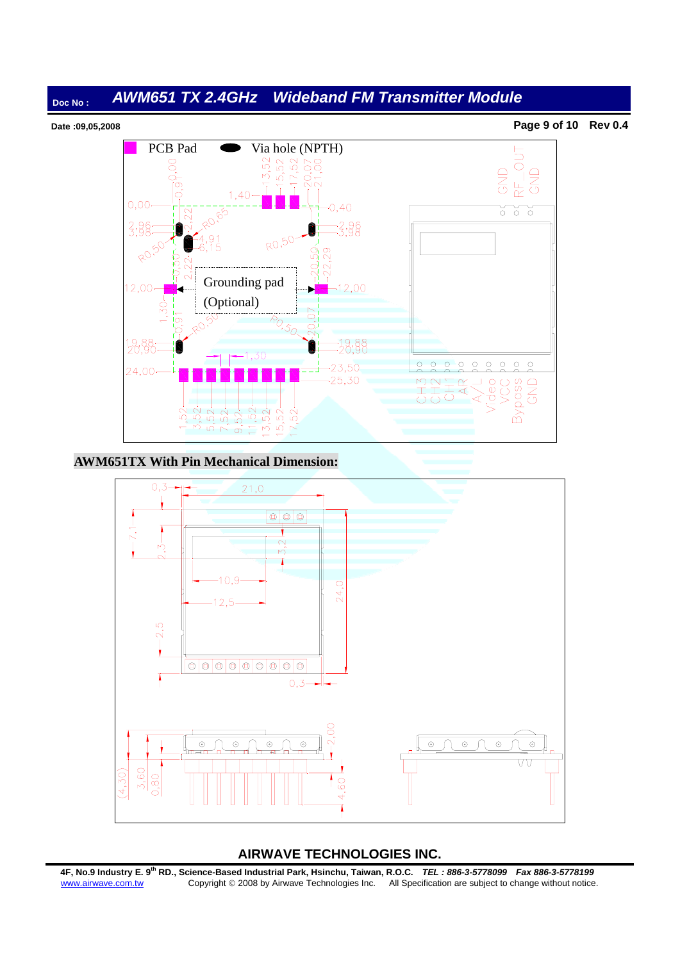

#### **AWM651TX With Pin Mechanical Dimension:**



**4F, No.9 Industry E. 9th RD., Science-Based Industrial Park, Hsinchu, Taiwan, R.O.C.** *TEL : 886-3-5778099 Fax 886-3-5778199*  www.airwave.com.tw Copyright © 2008 by Airwave Technologies Inc. All Specification are subject to change without notice.